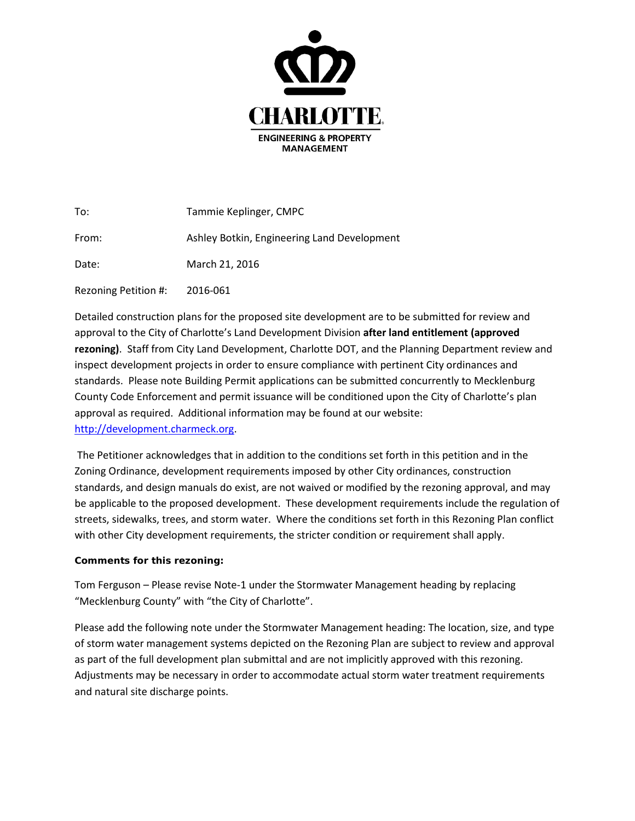

| To:                  | Tammie Keplinger, CMPC                      |
|----------------------|---------------------------------------------|
| From:                | Ashley Botkin, Engineering Land Development |
| Date:                | March 21, 2016                              |
| Rezoning Petition #: | 2016-061                                    |

Detailed construction plans for the proposed site development are to be submitted for review and approval to the City of Charlotte's Land Development Division **after land entitlement (approved rezoning)**. Staff from City Land Development, Charlotte DOT, and the Planning Department review and inspect development projects in order to ensure compliance with pertinent City ordinances and standards. Please note Building Permit applications can be submitted concurrently to Mecklenburg County Code Enforcement and permit issuance will be conditioned upon the City of Charlotte's plan approval as required. Additional information may be found at our website: [http://development.charmeck.org.](http://development.charmeck.org/)

The Petitioner acknowledges that in addition to the conditions set forth in this petition and in the Zoning Ordinance, development requirements imposed by other City ordinances, construction standards, and design manuals do exist, are not waived or modified by the rezoning approval, and may be applicable to the proposed development. These development requirements include the regulation of streets, sidewalks, trees, and storm water. Where the conditions set forth in this Rezoning Plan conflict with other City development requirements, the stricter condition or requirement shall apply.

## **Comments for this rezoning:**

Tom Ferguson – Please revise Note-1 under the Stormwater Management heading by replacing "Mecklenburg County" with "the City of Charlotte".

Please add the following note under the Stormwater Management heading: The location, size, and type of storm water management systems depicted on the Rezoning Plan are subject to review and approval as part of the full development plan submittal and are not implicitly approved with this rezoning. Adjustments may be necessary in order to accommodate actual storm water treatment requirements and natural site discharge points.